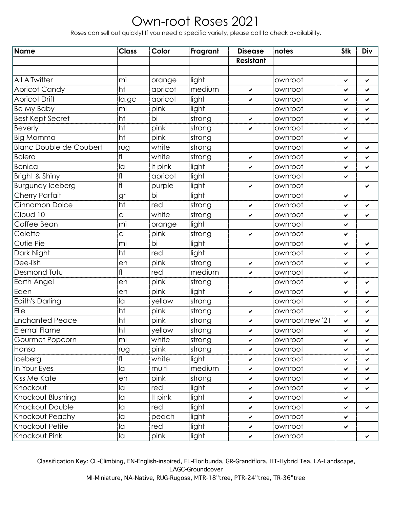## Own-root Roses 2021

Roses can sell out quickly! If you need a specific variety, please call to check availability.

| Name                           | <b>Class</b>   | Color   | Fragrant | <b>Disease</b>   | notes            | <b>Stk</b>   | Div |
|--------------------------------|----------------|---------|----------|------------------|------------------|--------------|-----|
|                                |                |         |          | <b>Resistant</b> |                  |              |     |
|                                |                |         |          |                  |                  |              |     |
| All A'Twitter                  | mi             | orange  | light    |                  | ownroot          | ✓            | ✔   |
| <b>Apricot Candy</b>           | ht             | apricot | medium   | $\checkmark$     | ownroot          | ✓            | ✔   |
| <b>Apricot Drift</b>           | la,gc          | apricot | light    | $\checkmark$     | ownroot          | ✔            | ✔   |
| Be My Baby                     | mi             | pink    | light    |                  | ownroot          | ✓            | ✓   |
| <b>Best Kept Secret</b>        | ht             | bi      | strong   | $\checkmark$     | ownroot          | ✔            | ✔   |
| <b>Beverly</b>                 | ht             | pink    | strong   | $\checkmark$     | ownroot          | ✓            |     |
| <b>Big Momma</b>               | ht             | pink    | strong   |                  | ownroot          | ✔            |     |
| <b>Blanc Double de Coubert</b> | rug            | white   | strong   |                  | ownroot          | ✓            | ✔   |
| <b>Bolero</b>                  | fl             | white   | strong   | $\checkmark$     | ownroot          | ✔            | ✔   |
| <b>Bonica</b>                  | la             | It pink | light    | $\checkmark$     | ownroot          | ✓            | ✔   |
| Bright & Shiny                 | $\mathsf{fl}$  | apricot | light    |                  | ownroot          | ✔            |     |
| <b>Burgundy Iceberg</b>        | fl             | purple  | light    | $\checkmark$     | ownroot          |              | ✔   |
| Cherry Parfait                 | gr             | bi      | light    |                  | ownroot          | ✔            |     |
| Cinnamon Dolce                 | ht             | red     | strong   | $\checkmark$     | ownroot          | ✓            | ✔   |
| Cloud 10                       | cl             | white   | strong   | $\checkmark$     | ownroot          | ✔            | ✔   |
| Coffee Bean                    | mi             | orange  | light    |                  | ownroot          | ✓            |     |
| Colette                        | cl             | pink    | strong   | $\checkmark$     | ownroot          | ✔            |     |
| <b>Cutie Pie</b>               | mi             | bi      | light    |                  | ownroot          | ✓            | ✔   |
| Dark Night                     | ht             | red     | light    |                  | ownroot          | ✔            | ✔   |
| Dee-lish                       | en             | pink    | strong   | $\checkmark$     | ownroot          | ✓            | ✓   |
| Desmond Tutu                   | f              | red     | medium   | $\checkmark$     | ownroot          | ✔            |     |
| Earth Angel                    | en             | pink    | strong   |                  | ownroot          | ✓            | ✔   |
| Eden                           | en             | pink    | light    | $\checkmark$     | ownroot          | ✔            | ✔   |
| <b>Edith's Darling</b>         | la             | yellow  | strong   |                  | ownroot          | ✓            | ✓   |
| Elle                           | ht             | pink    | strong   | $\checkmark$     | ownroot          | ✔            | ✔   |
| <b>Enchanted Peace</b>         | ht             | pink    | strong   | $\checkmark$     | ownroot, new '21 | ✓            | ✔   |
| <b>Eternal Flame</b>           | ht             | yellow  | strong   | ✔                | ownroot          | ✔            | ✔   |
| Gourmet Popcorn                | mi             | white   | strong   | $\checkmark$     | ownroot          | ✓            | ✔   |
| Hansa                          | rug            | pink    | strong   | $\checkmark$     | ownroot          | ✔            | ✔   |
| Iceberg                        | fl             | white   | light    | $\checkmark$     | ownroot          | ✓            | ✔   |
| In Your Eyes                   | la             | multi   | medium   | $\checkmark$     | ownroot          | ✓            | ✓   |
| <b>Kiss Me Kate</b>            | en             | pink    | strong   | $\checkmark$     | ownroot          | ✓            | ✔   |
| Knockout                       | la             | red     | light    | $\checkmark$     | ownroot          | ✔            | ✓   |
| Knockout Blushing              | la             | It pink | light    | $\checkmark$     | ownroot          | ✓            |     |
| Knockout Double                | la             | red     | light    | $\checkmark$     | ownroot          | ✔            | ✓   |
| Knockout Peachy                | la             | peach   | light    | $\checkmark$     | ownroot          | ✓            |     |
| Knockout Petite                | la             | red     | light    | $\checkmark$     | ownroot          | $\checkmark$ |     |
| Knockout Pink                  | $\overline{a}$ | pink    | light    | $\checkmark$     | ownroot          |              | ✓   |

Classification Key: CL-Climbing, EN-English-inspired, FL-Floribunda, GR-Grandiflora, HT-Hybrid Tea, LA-Landscape, LAGC-Groundcover MI-Miniature, NA-Native, RUG-Rugosa, MTR-18"tree, PTR-24"tree, TR-36"tree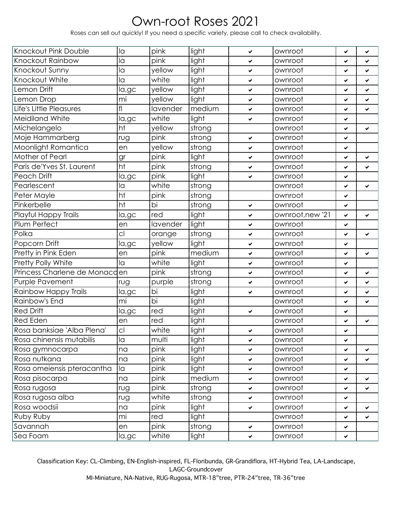## Own-root Roses 2021

Roses can sell out quickly! If you need a specific variety, please call to check availability.

| Knockout Pink Double          | la             | pink     | light  | $\checkmark$ | ownroot          | ✓ | ✔ |
|-------------------------------|----------------|----------|--------|--------------|------------------|---|---|
| Knockout Rainbow              | la             | pink     | light  | ✔            | ownroot          | ✔ | ✔ |
| Knockout Sunny                | la             | yellow   | light  | $\checkmark$ | ownroot          | ✓ | ✓ |
| Knockout White                | la             | white    | light  | ✔            | ownroot          | ✔ | ✔ |
| Lemon Drift                   | la,gc          | vellow   | light  | $\checkmark$ | ownroot          | ✔ | ✔ |
| Lemon Drop                    | mi             | yellow   | light  | $\checkmark$ | ownroot          | ✔ | ✔ |
| Life's Little Pleasures       | f              | lavender | medium | $\checkmark$ | ownroot          | ✔ | ✔ |
| Meidiland White               | la,gc          | white    | light  | $\checkmark$ | ownroot          | ✔ |   |
| Michelangelo                  | ht             | yellow   | strong |              | ownroot          | ✔ | ✔ |
| Moje Hammarberg               | rug            | pink     | strong | $\checkmark$ | ownroot          | ✔ |   |
| Moonlight Romantica           | en             | yellow   | strong | $\checkmark$ | ownroot          | ✓ |   |
| Mother of Pearl               | gr             | pink     | light  | ✔            | ownroot          | ✔ | ✔ |
| Paris de'Yves St. Laurent     | ht             | pink     | strong | $\checkmark$ | ownroot          | ✓ | ✔ |
| Peach Drift                   | la,gc          | pink     | light  | ✔            | ownroot          | ✔ |   |
| Pearlescent                   | la             | white    | strong |              | ownroot          | ✔ | ✔ |
| Peter Mayle                   | ht             | pink     | strong |              | ownroot          | ✔ |   |
| Pinkerbelle                   | ht             | bi       | strong | $\checkmark$ | ownroot          | ✓ |   |
| Playful Happy Trails          | la,gc          | red      | light  | $\checkmark$ | ownroot, new '21 | ✓ | ✔ |
| Plum Perfect                  | en             | lavender | light  | $\checkmark$ | ownroot          | ✔ |   |
| Polka                         | cl             | orange   | strong | $\checkmark$ | ownroot          | ✔ | ✔ |
| Popcorn Drift                 | la,gc          | yellow   | light  | $\checkmark$ | ownroot          | ✓ |   |
| Pretty in Pink Eden           | en             | pink     | medium | $\checkmark$ | ownroot          | ✔ | ✔ |
| Pretty Polly White            | la             | white    | light  | $\checkmark$ | ownroot          | ✓ |   |
| Princess Charlene de Monacden |                | pink     | strong | ✔            | ownroot          | ✔ | ✔ |
| Purple Pavement               | rug            | purple   | strong | $\checkmark$ | ownroot          | ✔ | ✔ |
| Rainbow Happy Trails          | la,gc          | bi       | light  | ✔            | ownroot          | ✔ | ✔ |
| Rainbow's End                 | mi             | bi       | light  |              | ownroot          | ✓ | ✓ |
| <b>Red Drift</b>              | la,gc          | red      | light  | $\checkmark$ | ownroot          | ✔ |   |
| <b>Red Eden</b>               | en             | red      | light  |              | ownroot          | ✔ | ✔ |
| Rosa banksiae 'Alba Plena'    | C <sub>1</sub> | white    | light  | ✔            | ownroot          | ✔ |   |
| Rosa chinensis mutabilis      | la             | multi    | light  | $\checkmark$ | ownroot          | ✔ |   |
| Rosa gymnocarpa               | na             | pink     | light  | $\checkmark$ | ownroot          | ✔ | ✔ |
| Rosa nutkana                  | na             | pink     | light  | $\checkmark$ | ownroot          | ✓ | ✔ |
| Rosa omeiensis pteracantha    | la             | pink     | light  | ✔            | ownroot          | ✔ |   |
| Rosa pisocarpa                | na             | pink     | medium | ✔            | ownroot          | ✓ | ✔ |
| Rosa rugosa                   | rug            | pink     | strong | $\checkmark$ | ownroot          | ✔ | ✔ |
| Rosa rugosa alba              | rug            | white    | strong | ✔            | ownroot          | ✔ |   |
| Rosa woodsii                  | na             | pink     | light  | $\checkmark$ | ownroot          | ✓ | ✔ |
| Ruby Ruby                     | mi             | red      | light  |              | ownroot          | ✔ | ✔ |
| Savannah                      | en             | pink     | strong | $\checkmark$ | ownroot          | ✔ |   |
| Sea Foam                      | la,gc          | white    | light  | $\checkmark$ | ownroot          | ✔ |   |

Classification Key: CL-Climbing, EN-English-inspired, FL-Floribunda, GR-Grandiflora, HT-Hybrid Tea, LA-Landscape, LAGC-Groundcover MI-Miniature, NA-Native, RUG-Rugosa, MTR-18"tree, PTR-24"tree, TR-36"tree